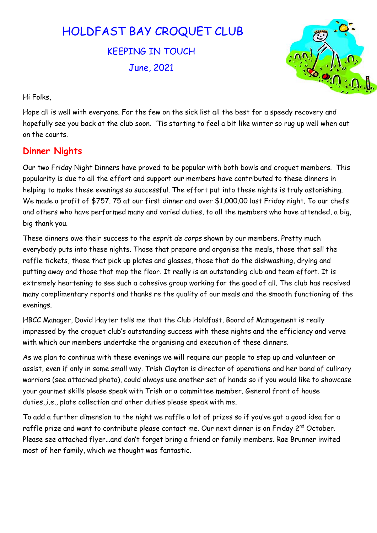# HOLDFAST BAY CROQUET CLUB

KEEPING IN TOUCH June, 2021



Hi Folks,

Hope all is well with everyone. For the few on the sick list all the best for a speedy recovery and hopefully see you back at the club soon. 'Tis starting to feel a bit like winter so rug up well when out on the courts.

#### Dinner Nights

Our two Friday Night Dinners have proved to be popular with both bowls and croquet members. This popularity is due to all the effort and support our members have contributed to these dinners in helping to make these evenings so successful. The effort put into these nights is truly astonishing. We made a profit of \$757. 75 at our first dinner and over \$1,000.00 last Friday night. To our chefs and others who have performed many and varied duties, to all the members who have attended, a big, big thank you.

These dinners owe their success to the esprit de corps shown by our members. Pretty much everybody puts into these nights. Those that prepare and organise the meals, those that sell the raffle tickets, those that pick up plates and glasses, those that do the dishwashing, drying and putting away and those that mop the floor. It really is an outstanding club and team effort. It is extremely heartening to see such a cohesive group working for the good of all. The club has received many complimentary reports and thanks re the quality of our meals and the smooth functioning of the evenings.

HBCC Manager, David Hayter tells me that the Club Holdfast, Board of Management is really impressed by the croquet club's outstanding success with these nights and the efficiency and verve with which our members undertake the organising and execution of these dinners.

As we plan to continue with these evenings we will require our people to step up and volunteer or assist, even if only in some small way. Trish Clayton is director of operations and her band of culinary warriors (see attached photo), could always use another set of hands so if you would like to showcase your gourmet skills please speak with Trish or a committee member. General front of house duties,,i.e., plate collection and other duties please speak with me.

To add a further dimension to the night we raffle a lot of prizes so if you've got a good idea for a raffle prize and want to contribute please contact me. Our next dinner is on Friday 2<sup>nd</sup> October. Please see attached flyer…and don't forget bring a friend or family members. Rae Brunner invited most of her family, which we thought was fantastic.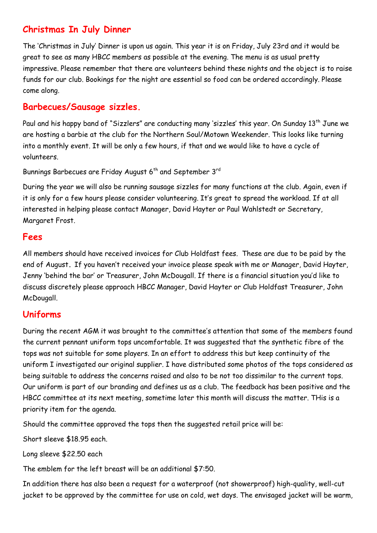### Christmas In July Dinner

The 'Christmas in July' Dinner is upon us again. This year it is on Friday, July 23rd and it would be great to see as many HBCC members as possible at the evening. The menu is as usual pretty impressive. Please remember that there are volunteers behind these nights and the object is to raise funds for our club. Bookings for the night are essential so food can be ordered accordingly. Please come along.

#### Barbecues/Sausage sizzles.

Paul and his happy band of "Sizzlers" are conducting many 'sizzles' this year. On Sunday 13<sup>th</sup> June we are hosting a barbie at the club for the Northern Soul/Motown Weekender. This looks like turning into a monthly event. It will be only a few hours, if that and we would like to have a cycle of volunteers.

Bunnings Barbecues are Friday August 6<sup>th</sup> and September 3<sup>rd</sup>

During the year we will also be running sausage sizzles for many functions at the club. Again, even if it is only for a few hours please consider volunteering. It's great to spread the workload. If at all interested in helping please contact Manager, David Hayter or Paul Wahlstedt or Secretary, Margaret Frost.

#### Fees

All members should have received invoices for Club Holdfast fees. These are due to be paid by the end of August. If you haven't received your invoice please speak with me or Manager, David Hayter, Jenny 'behind the bar' or Treasurer, John McDougall. If there is a financial situation you'd like to discuss discretely please approach HBCC Manager, David Hayter or Club Holdfast Treasurer, John McDougall.

#### Uniforms

During the recent AGM it was brought to the committee's attention that some of the members found the current pennant uniform tops uncomfortable. It was suggested that the synthetic fibre of the tops was not suitable for some players. In an effort to address this but keep continuity of the uniform I investigated our original supplier. I have distributed some photos of the tops considered as being suitable to address the concerns raised and also to be not too dissimilar to the current tops. Our uniform is part of our branding and defines us as a club. The feedback has been positive and the HBCC committee at its next meeting, sometime later this month will discuss the matter. THis is a priority item for the agenda.

Should the committee approved the tops then the suggested retail price will be:

Short sleeve \$18.95 each.

Long sleeve \$22.50 each

The emblem for the left breast will be an additional \$7:50.

In addition there has also been a request for a waterproof (not showerproof) high-quality, well-cut jacket to be approved by the committee for use on cold, wet days. The envisaged jacket will be warm,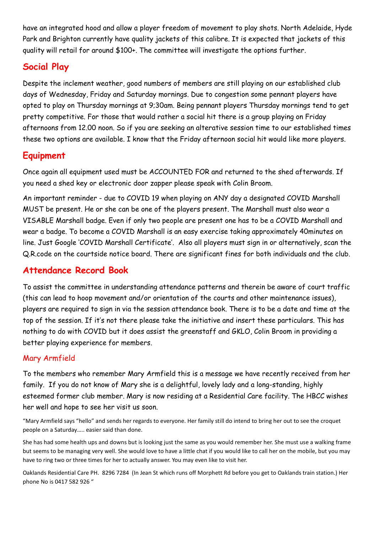have an integrated hood and allow a player freedom of movement to play shots. North Adelaide, Hyde Park and Brighton currently have quality jackets of this calibre. It is expected that jackets of this quality will retail for around \$100+. The committee will investigate the options further.

# Social Play

Despite the inclement weather, good numbers of members are still playing on our established club days of Wednesday, Friday and Saturday mornings. Due to congestion some pennant players have opted to play on Thursday mornings at 9;30am. Being pennant players Thursday mornings tend to get pretty competitive. For those that would rather a social hit there is a group playing on Friday afternoons from 12.00 noon. So if you are seeking an alterative session time to our established times these two options are available. I know that the Friday afternoon social hit would like more players.

# Equipment

Once again all equipment used must be ACCOUNTED FOR and returned to the shed afterwards. If you need a shed key or electronic door zapper please speak with Colin Broom.

An important reminder - due to COVID 19 when playing on ANY day a designated COVID Marshall MUST be present. He or she can be one of the players present. The Marshall must also wear a VISABLE Marshall badge. Even if only two people are present one has to be a COVID Marshall and wear a badge. To become a COVID Marshall is an easy exercise taking approximately 40minutes on line. Just Google 'COVID Marshall Certificate'. Also all players must sign in or alternatively, scan the Q.R.code on the courtside notice board. There are significant fines for both individuals and the club.

# Attendance Record Book

To assist the committee in understanding attendance patterns and therein be aware of court traffic (this can lead to hoop movement and/or orientation of the courts and other maintenance issues), players are required to sign in via the session attendance book. There is to be a date and time at the top of the session. If it's not there please take the initiative and insert these particulars. This has nothing to do with COVID but it does assist the greenstaff and GKLO, Colin Broom in providing a better playing experience for members.

#### Mary Armfield

To the members who remember Mary Armfield this is a message we have recently received from her family. If you do not know of Mary she is a delightful, lovely lady and a long-standing, highly esteemed former club member. Mary is now residing at a Residential Care facility. The HBCC wishes her well and hope to see her visit us soon.

"Mary Armfield says "hello" and sends her regards to everyone. Her family still do intend to bring her out to see the croquet people on a Saturday….. easier said than done.

She has had some health ups and downs but is looking just the same as you would remember her. She must use a walking frame but seems to be managing very well. She would love to have a little chat if you would like to call her on the mobile, but you may have to ring two or three times for her to actually answer. You may even like to visit her.

Oaklands Residential Care PH. 8296 7284 (In Jean St which runs off Morphett Rd before you get to Oaklands train station.) Her phone No is 0417 582 926 "